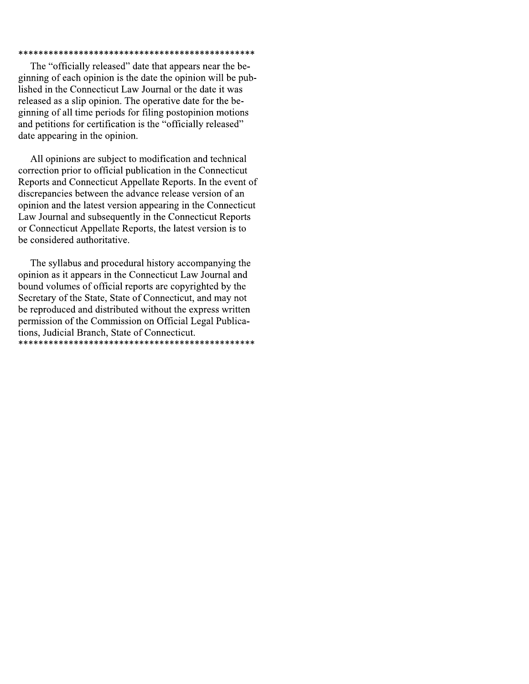#### 

The "officially released" date that appears near the beginning of each opinion is the date the opinion will be published in the Connecticut Law Journal or the date it was released as a slip opinion. The operative date for the beginning of all time periods for filing postopinion motions and petitions for certification is the "officially released" date appearing in the opinion.

All opinions are subject to modification and technical correction prior to official publication in the Connecticut Reports and Connecticut Appellate Reports. In the event of discrepancies between the advance release version of an opinion and the latest version appearing in the Connecticut Law Journal and subsequently in the Connecticut Reports or Connecticut Appellate Reports, the latest version is to be considered authoritative.

The syllabus and procedural history accompanying the opinion as it appears in the Connecticut Law Journal and bound volumes of official reports are copyrighted by the Secretary of the State, State of Connecticut, and may not be reproduced and distributed without the express written permission of the Commission on Official Legal Publications, Judicial Branch, State of Connecticut.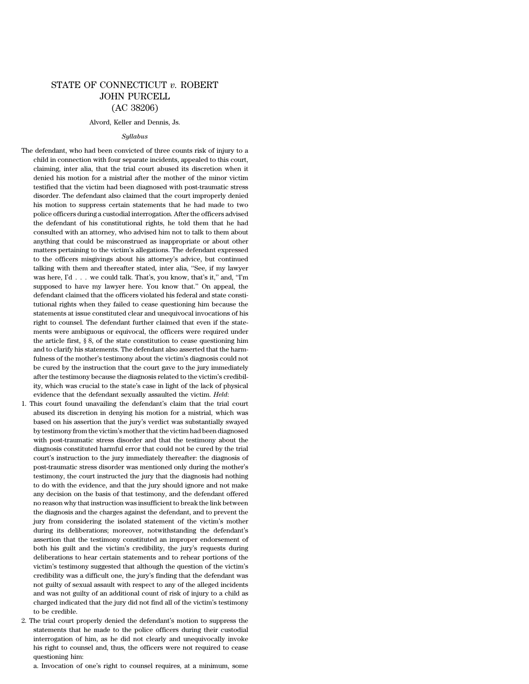## STATE OF CONNECTICUT *v.* ROBERT JOHN PURCELL (AC 38206)

#### Alvord, Keller and Dennis, Js.

#### *Syllabus*

The defendant, who had been convicted of three counts risk of injury to a child in connection with four separate incidents, appealed to this court, claiming, inter alia, that the trial court abused its discretion when it denied his motion for a mistrial after the mother of the minor victim testified that the victim had been diagnosed with post-traumatic stress disorder. The defendant also claimed that the court improperly denied his motion to suppress certain statements that he had made to two police officers during a custodial interrogation. After the officers advised the defendant of his constitutional rights, he told them that he had consulted with an attorney, who advised him not to talk to them about anything that could be misconstrued as inappropriate or about other matters pertaining to the victim's allegations. The defendant expressed to the officers misgivings about his attorney's advice, but continued talking with them and thereafter stated, inter alia, ''See, if my lawyer was here, I'd . . . we could talk. That's, you know, that's it," and, "I'm supposed to have my lawyer here. You know that.'' On appeal, the defendant claimed that the officers violated his federal and state constitutional rights when they failed to cease questioning him because the statements at issue constituted clear and unequivocal invocations of his right to counsel. The defendant further claimed that even if the statements were ambiguous or equivocal, the officers were required under the article first, § 8, of the state constitution to cease questioning him and to clarify his statements. The defendant also asserted that the harmfulness of the mother's testimony about the victim's diagnosis could not be cured by the instruction that the court gave to the jury immediately after the testimony because the diagnosis related to the victim's credibility, which was crucial to the state's case in light of the lack of physical evidence that the defendant sexually assaulted the victim. *Held*:

- 1. This court found unavailing the defendant's claim that the trial court abused its discretion in denying his motion for a mistrial, which was based on his assertion that the jury's verdict was substantially swayed by testimony from the victim's motherthat the victim had been diagnosed with post-traumatic stress disorder and that the testimony about the diagnosis constituted harmful error that could not be cured by the trial court's instruction to the jury immediately thereafter: the diagnosis of post-traumatic stress disorder was mentioned only during the mother's testimony, the court instructed the jury that the diagnosis had nothing to do with the evidence, and that the jury should ignore and not make any decision on the basis of that testimony, and the defendant offered no reason why that instruction was insufficient to break the link between the diagnosis and the charges against the defendant, and to prevent the jury from considering the isolated statement of the victim's mother during its deliberations; moreover, notwithstanding the defendant's assertion that the testimony constituted an improper endorsement of both his guilt and the victim's credibility, the jury's requests during deliberations to hear certain statements and to rehear portions of the victim's testimony suggested that although the question of the victim's credibility was a difficult one, the jury's finding that the defendant was not guilty of sexual assault with respect to any of the alleged incidents and was not guilty of an additional count of risk of injury to a child as charged indicated that the jury did not find all of the victim's testimony to be credible.
- 2. The trial court properly denied the defendant's motion to suppress the statements that he made to the police officers during their custodial interrogation of him, as he did not clearly and unequivocally invoke his right to counsel and, thus, the officers were not required to cease questioning him:

a. Invocation of one's right to counsel requires, at a minimum, some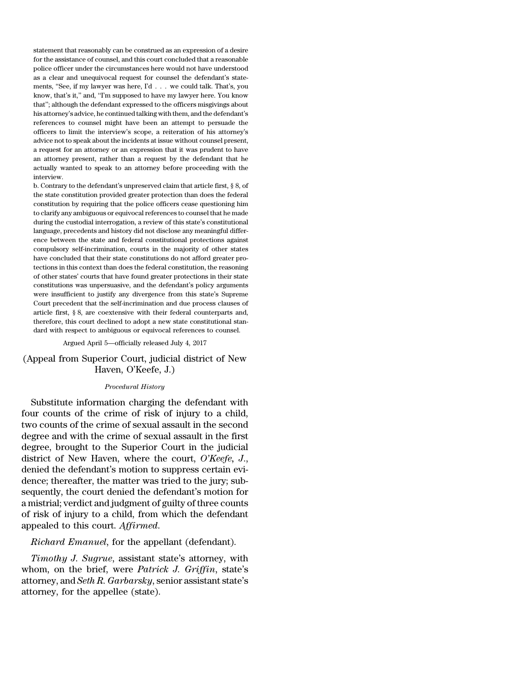statement that reasonably can be construed as an expression of a desire for the assistance of counsel, and this court concluded that a reasonable police officer under the circumstances here would not have understood as a clear and unequivocal request for counsel the defendant's statements, ''See, if my lawyer was here, I'd . . . we could talk. That's, you know, that's it,'' and, ''I'm supposed to have my lawyer here. You know that''; although the defendant expressed to the officers misgivings about his attorney's advice, he continued talking with them, and the defendant's references to counsel might have been an attempt to persuade the officers to limit the interview's scope, a reiteration of his attorney's advice not to speak about the incidents at issue without counsel present, a request for an attorney or an expression that it was prudent to have an attorney present, rather than a request by the defendant that he actually wanted to speak to an attorney before proceeding with the interview.

b. Contrary to the defendant's unpreserved claim that article first, § 8, of the state constitution provided greater protection than does the federal constitution by requiring that the police officers cease questioning him to clarify any ambiguous or equivocal references to counsel that he made during the custodial interrogation, a review of this state's constitutional language, precedents and history did not disclose any meaningful difference between the state and federal constitutional protections against compulsory self-incrimination, courts in the majority of other states have concluded that their state constitutions do not afford greater protections in this context than does the federal constitution, the reasoning of other states' courts that have found greater protections in their state constitutions was unpersuasive, and the defendant's policy arguments were insufficient to justify any divergence from this state's Supreme Court precedent that the self-incrimination and due process clauses of article first, § 8, are coextensive with their federal counterparts and, therefore, this court declined to adopt a new state constitutional standard with respect to ambiguous or equivocal references to counsel.

Argued April 5—officially released July 4, 2017

## (Appeal from Superior Court, judicial district of New Haven, O'Keefe, J.)

#### *Procedural History*

Substitute information charging the defendant with four counts of the crime of risk of injury to a child, two counts of the crime of sexual assault in the second degree and with the crime of sexual assault in the first degree, brought to the Superior Court in the judicial district of New Haven, where the court, *O'Keefe, J*., denied the defendant's motion to suppress certain evidence; thereafter, the matter was tried to the jury; subsequently, the court denied the defendant's motion for a mistrial; verdict and judgment of guilty of three counts of risk of injury to a child, from which the defendant appealed to this court. *Affirmed*.

*Richard Emanuel*, for the appellant (defendant).

*Timothy J. Sugrue*, assistant state's attorney, with whom, on the brief, were *Patrick J. Griffin*, state's attorney, and *Seth R. Garbarsky*, senior assistant state's attorney, for the appellee (state).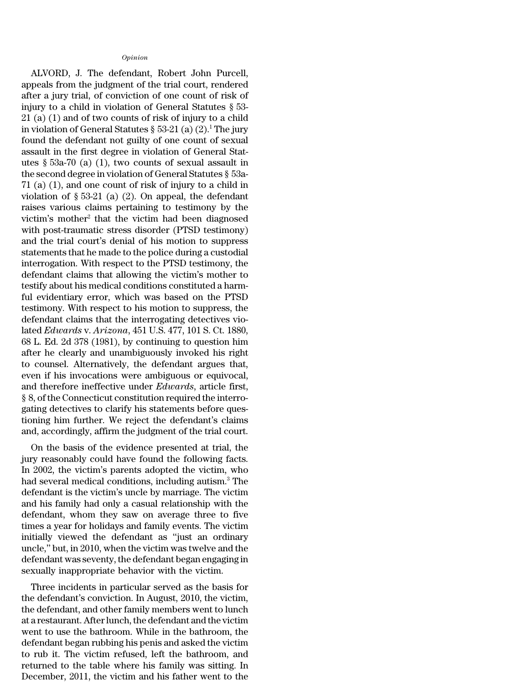#### *Opinion*

ALVORD, J. The defendant, Robert John Purcell, appeals from the judgment of the trial court, rendered after a jury trial, of conviction of one count of risk of injury to a child in violation of General Statutes § 53- 21 (a) (1) and of two counts of risk of injury to a child in violation of General Statutes  $\S 53-21$  (a) (2).<sup>1</sup> The jury found the defendant not guilty of one count of sexual assault in the first degree in violation of General Statutes § 53a-70 (a) (1), two counts of sexual assault in the second degree in violation of General Statutes § 53a-71 (a) (1), and one count of risk of injury to a child in violation of  $\S 53-21$  (a) (2). On appeal, the defendant raises various claims pertaining to testimony by the victim's mother<sup>2</sup> that the victim had been diagnosed with post-traumatic stress disorder (PTSD testimony) and the trial court's denial of his motion to suppress statements that he made to the police during a custodial interrogation. With respect to the PTSD testimony, the defendant claims that allowing the victim's mother to testify about his medical conditions constituted a harmful evidentiary error, which was based on the PTSD testimony. With respect to his motion to suppress, the defendant claims that the interrogating detectives violated *Edwards* v. *Arizona*, 451 U.S. 477, 101 S. Ct. 1880, 68 L. Ed. 2d 378 (1981), by continuing to question him after he clearly and unambiguously invoked his right to counsel. Alternatively, the defendant argues that, even if his invocations were ambiguous or equivocal, and therefore ineffective under *Edwards*, article first, § 8, of the Connecticut constitution required the interrogating detectives to clarify his statements before questioning him further. We reject the defendant's claims and, accordingly, affirm the judgment of the trial court.

On the basis of the evidence presented at trial, the jury reasonably could have found the following facts. In 2002, the victim's parents adopted the victim, who had several medical conditions, including autism.<sup>3</sup> The defendant is the victim's uncle by marriage. The victim and his family had only a casual relationship with the defendant, whom they saw on average three to five times a year for holidays and family events. The victim initially viewed the defendant as ''just an ordinary uncle,'' but, in 2010, when the victim was twelve and the defendant was seventy, the defendant began engaging in sexually inappropriate behavior with the victim.

Three incidents in particular served as the basis for the defendant's conviction. In August, 2010, the victim, the defendant, and other family members went to lunch at a restaurant. After lunch, the defendant and the victim went to use the bathroom. While in the bathroom, the defendant began rubbing his penis and asked the victim to rub it. The victim refused, left the bathroom, and returned to the table where his family was sitting. In December, 2011, the victim and his father went to the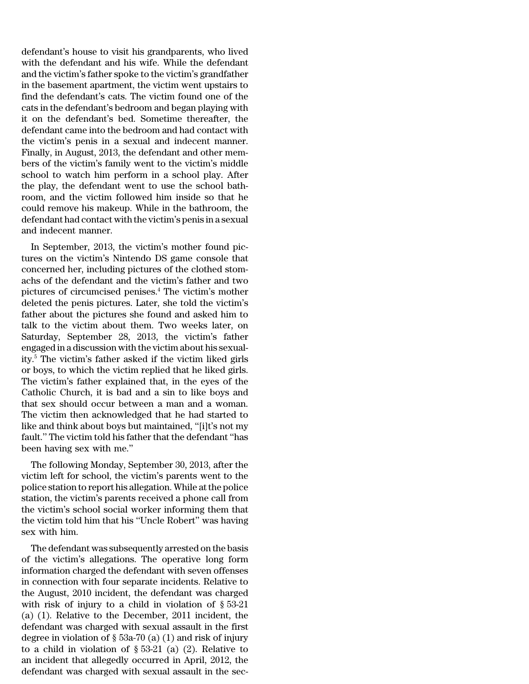defendant's house to visit his grandparents, who lived with the defendant and his wife. While the defendant and the victim's father spoke to the victim's grandfather in the basement apartment, the victim went upstairs to find the defendant's cats. The victim found one of the cats in the defendant's bedroom and began playing with it on the defendant's bed. Sometime thereafter, the defendant came into the bedroom and had contact with the victim's penis in a sexual and indecent manner. Finally, in August, 2013, the defendant and other members of the victim's family went to the victim's middle school to watch him perform in a school play. After the play, the defendant went to use the school bathroom, and the victim followed him inside so that he could remove his makeup. While in the bathroom, the defendant had contact with the victim's penis in a sexual and indecent manner.

In September, 2013, the victim's mother found pictures on the victim's Nintendo DS game console that concerned her, including pictures of the clothed stomachs of the defendant and the victim's father and two pictures of circumcised penises.<sup>4</sup> The victim's mother deleted the penis pictures. Later, she told the victim's father about the pictures she found and asked him to talk to the victim about them. Two weeks later, on Saturday, September 28, 2013, the victim's father engaged in a discussion with the victim about his sexuality.<sup>5</sup> The victim's father asked if the victim liked girls or boys, to which the victim replied that he liked girls. The victim's father explained that, in the eyes of the Catholic Church, it is bad and a sin to like boys and that sex should occur between a man and a woman. The victim then acknowledged that he had started to like and think about boys but maintained, ''[i]t's not my fault.'' The victim told his father that the defendant ''has been having sex with me.''

The following Monday, September 30, 2013, after the victim left for school, the victim's parents went to the police station to report his allegation. While at the police station, the victim's parents received a phone call from the victim's school social worker informing them that the victim told him that his ''Uncle Robert'' was having sex with him.

The defendant was subsequently arrested on the basis of the victim's allegations. The operative long form information charged the defendant with seven offenses in connection with four separate incidents. Relative to the August, 2010 incident, the defendant was charged with risk of injury to a child in violation of § 53-21 (a) (1). Relative to the December, 2011 incident, the defendant was charged with sexual assault in the first degree in violation of  $\S$  53a-70 (a) (1) and risk of injury to a child in violation of  $\S 53-21$  (a) (2). Relative to an incident that allegedly occurred in April, 2012, the defendant was charged with sexual assault in the sec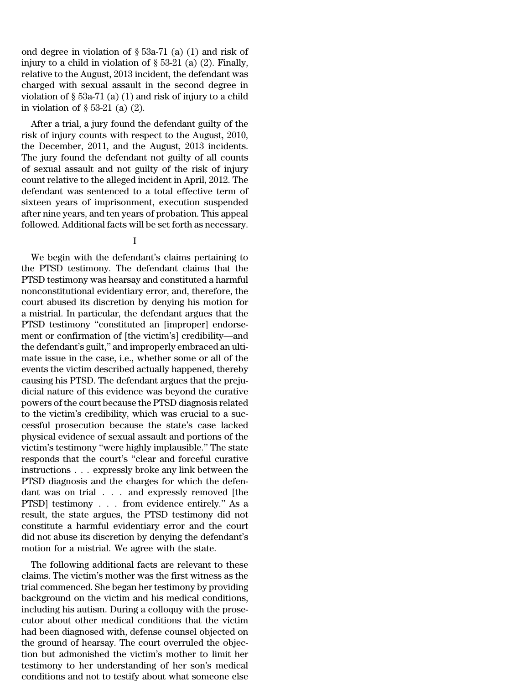ond degree in violation of  $\S$  53a-71 (a) (1) and risk of injury to a child in violation of  $\S 53-21$  (a) (2). Finally, relative to the August, 2013 incident, the defendant was charged with sexual assault in the second degree in violation of  $\S 53a-71$  (a) (1) and risk of injury to a child in violation of § 53-21 (a) (2).

After a trial, a jury found the defendant guilty of the risk of injury counts with respect to the August, 2010, the December, 2011, and the August, 2013 incidents. The jury found the defendant not guilty of all counts of sexual assault and not guilty of the risk of injury count relative to the alleged incident in April, 2012. The defendant was sentenced to a total effective term of sixteen years of imprisonment, execution suspended after nine years, and ten years of probation. This appeal followed. Additional facts will be set forth as necessary.

## I

We begin with the defendant's claims pertaining to the PTSD testimony. The defendant claims that the PTSD testimony was hearsay and constituted a harmful nonconstitutional evidentiary error, and, therefore, the court abused its discretion by denying his motion for a mistrial. In particular, the defendant argues that the PTSD testimony ''constituted an [improper] endorsement or confirmation of [the victim's] credibility—and the defendant's guilt,'' and improperly embraced an ultimate issue in the case, i.e., whether some or all of the events the victim described actually happened, thereby causing his PTSD. The defendant argues that the prejudicial nature of this evidence was beyond the curative powers of the court because the PTSD diagnosis related to the victim's credibility, which was crucial to a successful prosecution because the state's case lacked physical evidence of sexual assault and portions of the victim's testimony ''were highly implausible.'' The state responds that the court's ''clear and forceful curative instructions . . . expressly broke any link between the PTSD diagnosis and the charges for which the defendant was on trial . . . and expressly removed [the PTSD] testimony . . . from evidence entirely.'' As a result, the state argues, the PTSD testimony did not constitute a harmful evidentiary error and the court did not abuse its discretion by denying the defendant's motion for a mistrial. We agree with the state.

The following additional facts are relevant to these claims. The victim's mother was the first witness as the trial commenced. She began her testimony by providing background on the victim and his medical conditions, including his autism. During a colloquy with the prosecutor about other medical conditions that the victim had been diagnosed with, defense counsel objected on the ground of hearsay. The court overruled the objection but admonished the victim's mother to limit her testimony to her understanding of her son's medical conditions and not to testify about what someone else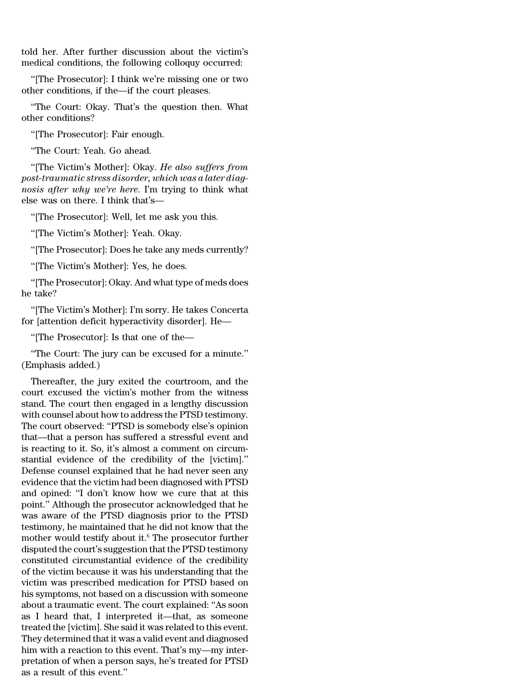told her. After further discussion about the victim's medical conditions, the following colloquy occurred:

''[The Prosecutor]: I think we're missing one or two other conditions, if the—if the court pleases.

''The Court: Okay. That's the question then. What other conditions?

''[The Prosecutor]: Fair enough.

''The Court: Yeah. Go ahead.

''[The Victim's Mother]: Okay. *He also suffers from post-traumatic stress disorder, which was a later diagnosis after why we're here*. I'm trying to think what else was on there. I think that's—

''[The Prosecutor]: Well, let me ask you this.

''[The Victim's Mother]: Yeah. Okay.

''[The Prosecutor]: Does he take any meds currently?

''[The Victim's Mother]: Yes, he does.

''[The Prosecutor]: Okay. And what type of meds does he take?

''[The Victim's Mother]: I'm sorry. He takes Concerta for [attention deficit hyperactivity disorder]. He—

''[The Prosecutor]: Is that one of the—

''The Court: The jury can be excused for a minute.'' (Emphasis added.)

Thereafter, the jury exited the courtroom, and the court excused the victim's mother from the witness stand. The court then engaged in a lengthy discussion with counsel about how to address the PTSD testimony. The court observed: ''PTSD is somebody else's opinion that—that a person has suffered a stressful event and is reacting to it. So, it's almost a comment on circumstantial evidence of the credibility of the [victim].'' Defense counsel explained that he had never seen any evidence that the victim had been diagnosed with PTSD and opined: ''I don't know how we cure that at this point.'' Although the prosecutor acknowledged that he was aware of the PTSD diagnosis prior to the PTSD testimony, he maintained that he did not know that the mother would testify about it. $6$  The prosecutor further disputed the court's suggestion that the PTSD testimony constituted circumstantial evidence of the credibility of the victim because it was his understanding that the victim was prescribed medication for PTSD based on his symptoms, not based on a discussion with someone about a traumatic event. The court explained: ''As soon as I heard that, I interpreted it—that, as someone treated the [victim]. She said it was related to this event. They determined that it was a valid event and diagnosed him with a reaction to this event. That's my—my interpretation of when a person says, he's treated for PTSD as a result of this event.''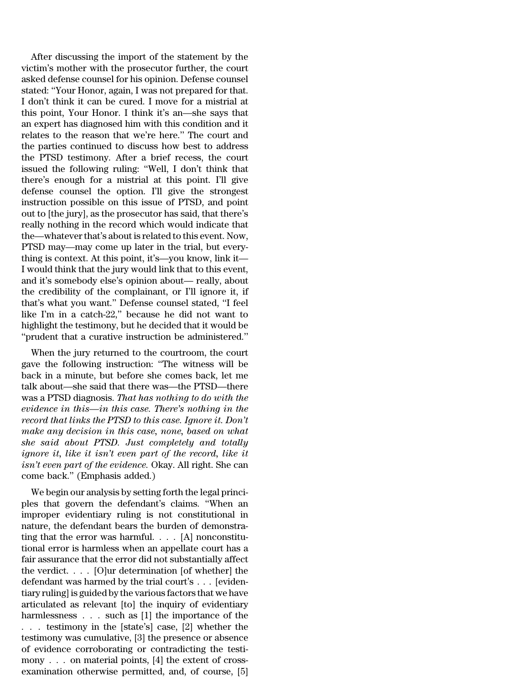After discussing the import of the statement by the victim's mother with the prosecutor further, the court asked defense counsel for his opinion. Defense counsel stated: ''Your Honor, again, I was not prepared for that. I don't think it can be cured. I move for a mistrial at this point, Your Honor. I think it's an—she says that an expert has diagnosed him with this condition and it relates to the reason that we're here.'' The court and the parties continued to discuss how best to address the PTSD testimony. After a brief recess, the court issued the following ruling: ''Well, I don't think that there's enough for a mistrial at this point. I'll give defense counsel the option. I'll give the strongest instruction possible on this issue of PTSD, and point out to [the jury], as the prosecutor has said, that there's really nothing in the record which would indicate that the—whateverthat's about is related to this event. Now, PTSD may—may come up later in the trial, but everything is context. At this point, it's—you know, link it— I would think that the jury would link that to this event, and it's somebody else's opinion about— really, about the credibility of the complainant, or I'll ignore it, if that's what you want.'' Defense counsel stated, ''I feel like I'm in a catch-22,'' because he did not want to highlight the testimony, but he decided that it would be ''prudent that a curative instruction be administered.''

When the jury returned to the courtroom, the court gave the following instruction: ''The witness will be back in a minute, but before she comes back, let me talk about—she said that there was—the PTSD—there was a PTSD diagnosis. *That has nothing to do with the evidence in this—in this case. There's nothing in the record that links the PTSD to this case. Ignore it. Don't make any decision in this case, none, based on what she said about PTSD. Just completely and totally ignore it, like it isn't even part of the record, like it isn't even part of the evidence.* Okay. All right. She can come back.'' (Emphasis added.)

We begin our analysis by setting forth the legal principles that govern the defendant's claims. ''When an improper evidentiary ruling is not constitutional in nature, the defendant bears the burden of demonstrating that the error was harmful. . . . [A] nonconstitutional error is harmless when an appellate court has a fair assurance that the error did not substantially affect the verdict. . . . [O]ur determination [of whether] the defendant was harmed by the trial court's . . . [evidentiary ruling] is guided by the various factors that we have articulated as relevant [to] the inquiry of evidentiary harmlessness . . . such as [1] the importance of the . . . testimony in the [state's] case, [2] whether the testimony was cumulative, [3] the presence or absence of evidence corroborating or contradicting the testimony . . . on material points, [4] the extent of crossexamination otherwise permitted, and, of course, [5]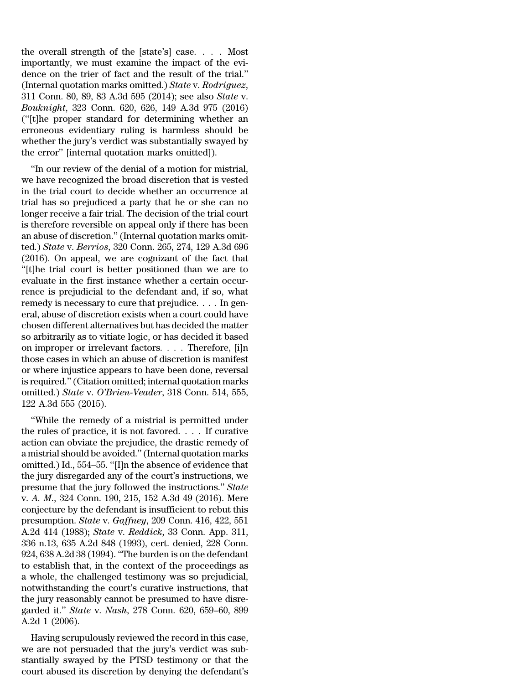the overall strength of the [state's] case. . . . Most importantly, we must examine the impact of the evidence on the trier of fact and the result of the trial.'' (Internal quotation marks omitted.) *State* v. *Rodriguez*, 311 Conn. 80, 89, 83 A.3d 595 (2014); see also *State* v. *Bouknight*, 323 Conn. 620, 626, 149 A.3d 975 (2016) (''[t]he proper standard for determining whether an erroneous evidentiary ruling is harmless should be whether the jury's verdict was substantially swayed by the error'' [internal quotation marks omitted]).

''In our review of the denial of a motion for mistrial, we have recognized the broad discretion that is vested in the trial court to decide whether an occurrence at trial has so prejudiced a party that he or she can no longer receive a fair trial. The decision of the trial court is therefore reversible on appeal only if there has been an abuse of discretion.'' (Internal quotation marks omitted.) *State* v. *Berrios*, 320 Conn. 265, 274, 129 A.3d 696 (2016). On appeal, we are cognizant of the fact that ''[t]he trial court is better positioned than we are to evaluate in the first instance whether a certain occurrence is prejudicial to the defendant and, if so, what remedy is necessary to cure that prejudice. . . . In general, abuse of discretion exists when a court could have chosen different alternatives but has decided the matter so arbitrarily as to vitiate logic, or has decided it based on improper or irrelevant factors. . . . Therefore, [i]n those cases in which an abuse of discretion is manifest or where injustice appears to have been done, reversal is required.''(Citation omitted; internal quotation marks omitted.) *State* v. *O'Brien-Veader*, 318 Conn. 514, 555, 122 A.3d 555 (2015).

''While the remedy of a mistrial is permitted under the rules of practice, it is not favored. . . . If curative action can obviate the prejudice, the drastic remedy of a mistrial should be avoided.''(Internal quotation marks omitted.) Id., 554–55. ''[I]n the absence of evidence that the jury disregarded any of the court's instructions, we presume that the jury followed the instructions.'' *State* v. *A. M*., 324 Conn. 190, 215, 152 A.3d 49 (2016). Mere conjecture by the defendant is insufficient to rebut this presumption. *State* v. *Gaffney*, 209 Conn. 416, 422, 551 A.2d 414 (1988); *State* v. *Reddick*, 33 Conn. App. 311, 336 n.13, 635 A.2d 848 (1993), cert. denied, 228 Conn. 924, 638 A.2d 38 (1994). ''The burden is on the defendant to establish that, in the context of the proceedings as a whole, the challenged testimony was so prejudicial, notwithstanding the court's curative instructions, that the jury reasonably cannot be presumed to have disregarded it.'' *State* v. *Nash*, 278 Conn. 620, 659–60, 899 A.2d 1 (2006).

Having scrupulously reviewed the record in this case, we are not persuaded that the jury's verdict was substantially swayed by the PTSD testimony or that the court abused its discretion by denying the defendant's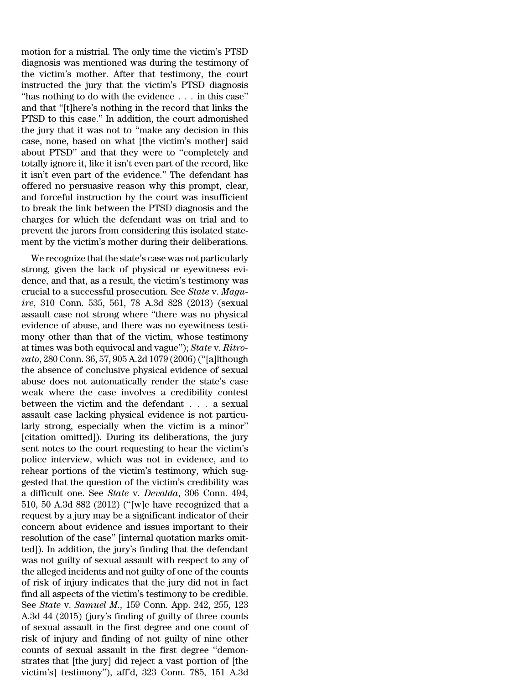motion for a mistrial. The only time the victim's PTSD diagnosis was mentioned was during the testimony of the victim's mother. After that testimony, the court instructed the jury that the victim's PTSD diagnosis ''has nothing to do with the evidence . . . in this case'' and that ''[t]here's nothing in the record that links the PTSD to this case.'' In addition, the court admonished the jury that it was not to ''make any decision in this case, none, based on what [the victim's mother] said about PTSD'' and that they were to ''completely and totally ignore it, like it isn't even part of the record, like it isn't even part of the evidence.'' The defendant has offered no persuasive reason why this prompt, clear, and forceful instruction by the court was insufficient to break the link between the PTSD diagnosis and the charges for which the defendant was on trial and to prevent the jurors from considering this isolated statement by the victim's mother during their deliberations.

We recognize that the state's case was not particularly strong, given the lack of physical or eyewitness evidence, and that, as a result, the victim's testimony was crucial to a successful prosecution. See *State* v. *Maguire*, 310 Conn. 535, 561, 78 A.3d 828 (2013) (sexual assault case not strong where ''there was no physical evidence of abuse, and there was no eyewitness testimony other than that of the victim, whose testimony at times was both equivocal and vague''); *State* v. *Ritrovato*, 280 Conn. 36, 57, 905 A.2d 1079 (2006)(''[a]lthough the absence of conclusive physical evidence of sexual abuse does not automatically render the state's case weak where the case involves a credibility contest between the victim and the defendant . . . a sexual assault case lacking physical evidence is not particularly strong, especially when the victim is a minor'' [citation omitted]). During its deliberations, the jury sent notes to the court requesting to hear the victim's police interview, which was not in evidence, and to rehear portions of the victim's testimony, which suggested that the question of the victim's credibility was a difficult one. See *State* v. *Devalda*, 306 Conn. 494, 510, 50 A.3d 882 (2012) (''[w]e have recognized that a request by a jury may be a significant indicator of their concern about evidence and issues important to their resolution of the case'' [internal quotation marks omitted]). In addition, the jury's finding that the defendant was not guilty of sexual assault with respect to any of the alleged incidents and not guilty of one of the counts of risk of injury indicates that the jury did not in fact find all aspects of the victim's testimony to be credible. See *State* v. *Samuel M*., 159 Conn. App. 242, 255, 123 A.3d 44 (2015) (jury's finding of guilty of three counts of sexual assault in the first degree and one count of risk of injury and finding of not guilty of nine other counts of sexual assault in the first degree ''demonstrates that [the jury] did reject a vast portion of [the victim's] testimony''), aff'd, 323 Conn. 785, 151 A.3d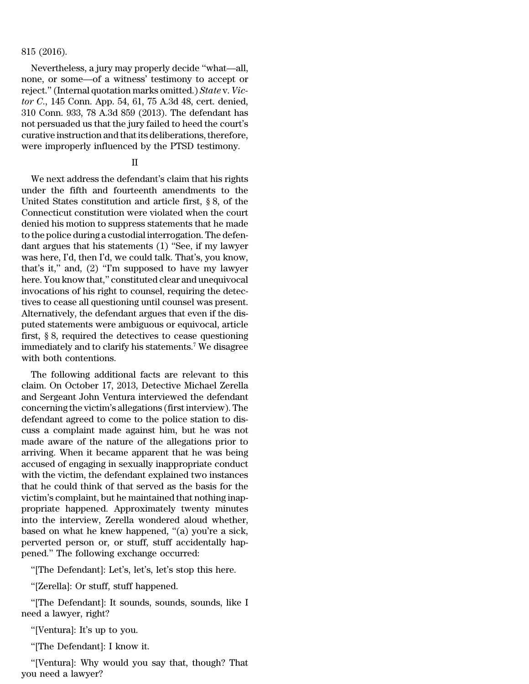### 815 (2016).

Nevertheless, a jury may properly decide ''what—all, none, or some—of a witness' testimony to accept or reject.''(Internal quotation marks omitted.) *State* v. *Victor C*., 145 Conn. App. 54, 61, 75 A.3d 48, cert. denied, 310 Conn. 933, 78 A.3d 859 (2013). The defendant has not persuaded us that the jury failed to heed the court's curative instruction and that its deliberations, therefore, were improperly influenced by the PTSD testimony.

## II

We next address the defendant's claim that his rights under the fifth and fourteenth amendments to the United States constitution and article first, § 8, of the Connecticut constitution were violated when the court denied his motion to suppress statements that he made to the police during a custodial interrogation. The defendant argues that his statements (1) ''See, if my lawyer was here, I'd, then I'd, we could talk. That's, you know, that's it,'' and, (2) ''I'm supposed to have my lawyer here. You know that,'' constituted clear and unequivocal invocations of his right to counsel, requiring the detectives to cease all questioning until counsel was present. Alternatively, the defendant argues that even if the disputed statements were ambiguous or equivocal, article first, § 8, required the detectives to cease questioning immediately and to clarify his statements.<sup>7</sup> We disagree with both contentions.

The following additional facts are relevant to this claim. On October 17, 2013, Detective Michael Zerella and Sergeant John Ventura interviewed the defendant concerning the victim's allegations (first interview). The defendant agreed to come to the police station to discuss a complaint made against him, but he was not made aware of the nature of the allegations prior to arriving. When it became apparent that he was being accused of engaging in sexually inappropriate conduct with the victim, the defendant explained two instances that he could think of that served as the basis for the victim's complaint, but he maintained that nothing inappropriate happened. Approximately twenty minutes into the interview, Zerella wondered aloud whether, based on what he knew happened, ''(a) you're a sick, perverted person or, or stuff, stuff accidentally happened.'' The following exchange occurred:

''[The Defendant]: Let's, let's, let's stop this here.

''[Zerella]: Or stuff, stuff happened.

''[The Defendant]: It sounds, sounds, sounds, like I need a lawyer, right?

''[Ventura]: It's up to you.

''[The Defendant]: I know it.

''[Ventura]: Why would you say that, though? That you need a lawyer?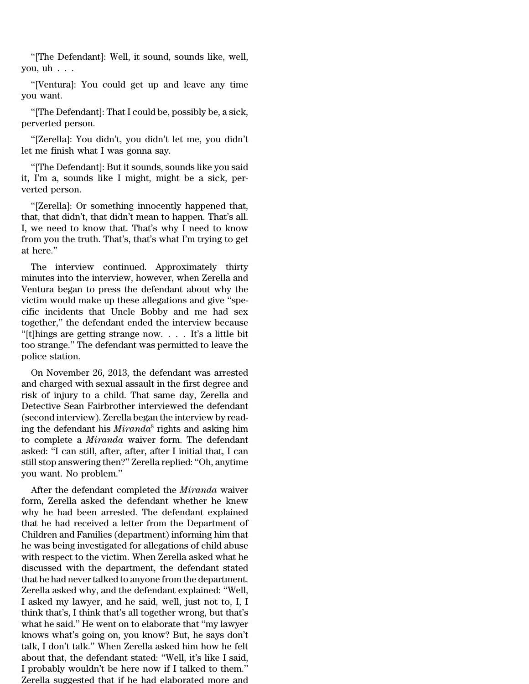''[The Defendant]: Well, it sound, sounds like, well, you,  $uh \dots$ 

''[Ventura]: You could get up and leave any time you want.

''[The Defendant]: That I could be, possibly be, a sick, perverted person.

''[Zerella]: You didn't, you didn't let me, you didn't let me finish what I was gonna say.

''[The Defendant]: But it sounds, sounds like you said it, I'm a, sounds like I might, might be a sick, perverted person.

''[Zerella]: Or something innocently happened that, that, that didn't, that didn't mean to happen. That's all. I, we need to know that. That's why I need to know from you the truth. That's, that's what I'm trying to get at here.''

The interview continued. Approximately thirty minutes into the interview, however, when Zerella and Ventura began to press the defendant about why the victim would make up these allegations and give ''specific incidents that Uncle Bobby and me had sex together,'' the defendant ended the interview because ''[t]hings are getting strange now. . . . It's a little bit too strange.'' The defendant was permitted to leave the police station.

On November 26, 2013, the defendant was arrested and charged with sexual assault in the first degree and risk of injury to a child. That same day, Zerella and Detective Sean Fairbrother interviewed the defendant (second interview). Zerella began the interview by reading the defendant his *Miranda*<sup>8</sup> rights and asking him to complete a *Miranda* waiver form. The defendant asked: ''I can still, after, after, after I initial that, I can still stop answering then?'' Zerella replied: ''Oh, anytime you want. No problem.''

After the defendant completed the *Miranda* waiver form, Zerella asked the defendant whether he knew why he had been arrested. The defendant explained that he had received a letter from the Department of Children and Families (department) informing him that he was being investigated for allegations of child abuse with respect to the victim. When Zerella asked what he discussed with the department, the defendant stated that he had never talked to anyone from the department. Zerella asked why, and the defendant explained: ''Well, I asked my lawyer, and he said, well, just not to, I, I think that's, I think that's all together wrong, but that's what he said.'' He went on to elaborate that ''my lawyer knows what's going on, you know? But, he says don't talk, I don't talk.'' When Zerella asked him how he felt about that, the defendant stated: ''Well, it's like I said, I probably wouldn't be here now if I talked to them.'' Zerella suggested that if he had elaborated more and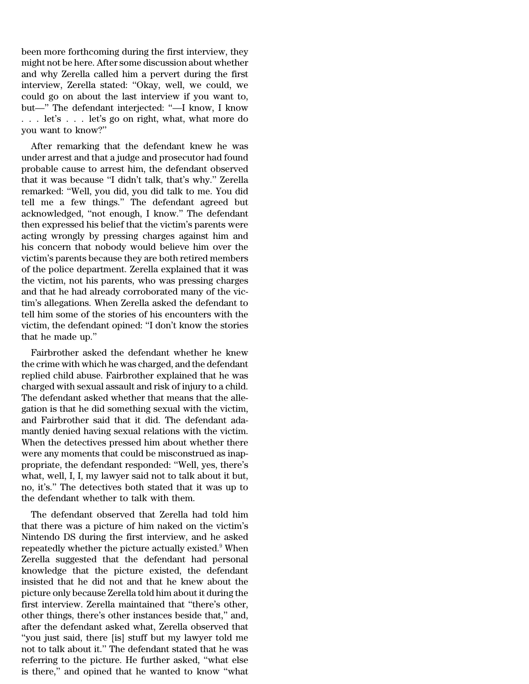been more forthcoming during the first interview, they might not be here. After some discussion about whether and why Zerella called him a pervert during the first interview, Zerella stated: ''Okay, well, we could, we could go on about the last interview if you want to, but—'' The defendant interjected: ''—I know, I know . . . let's . . . let's go on right, what, what more do you want to know?''

After remarking that the defendant knew he was under arrest and that a judge and prosecutor had found probable cause to arrest him, the defendant observed that it was because ''I didn't talk, that's why.'' Zerella remarked: ''Well, you did, you did talk to me. You did tell me a few things.'' The defendant agreed but acknowledged, ''not enough, I know.'' The defendant then expressed his belief that the victim's parents were acting wrongly by pressing charges against him and his concern that nobody would believe him over the victim's parents because they are both retired members of the police department. Zerella explained that it was the victim, not his parents, who was pressing charges and that he had already corroborated many of the victim's allegations. When Zerella asked the defendant to tell him some of the stories of his encounters with the victim, the defendant opined: ''I don't know the stories that he made up.''

Fairbrother asked the defendant whether he knew the crime with which he was charged, and the defendant replied child abuse. Fairbrother explained that he was charged with sexual assault and risk of injury to a child. The defendant asked whether that means that the allegation is that he did something sexual with the victim, and Fairbrother said that it did. The defendant adamantly denied having sexual relations with the victim. When the detectives pressed him about whether there were any moments that could be misconstrued as inappropriate, the defendant responded: ''Well, yes, there's what, well, I, I, my lawyer said not to talk about it but, no, it's.'' The detectives both stated that it was up to the defendant whether to talk with them.

The defendant observed that Zerella had told him that there was a picture of him naked on the victim's Nintendo DS during the first interview, and he asked repeatedly whether the picture actually existed.<sup>9</sup> When Zerella suggested that the defendant had personal knowledge that the picture existed, the defendant insisted that he did not and that he knew about the picture only because Zerella told him about it during the first interview. Zerella maintained that ''there's other, other things, there's other instances beside that,'' and, after the defendant asked what, Zerella observed that ''you just said, there [is] stuff but my lawyer told me not to talk about it.'' The defendant stated that he was referring to the picture. He further asked, ''what else is there,'' and opined that he wanted to know ''what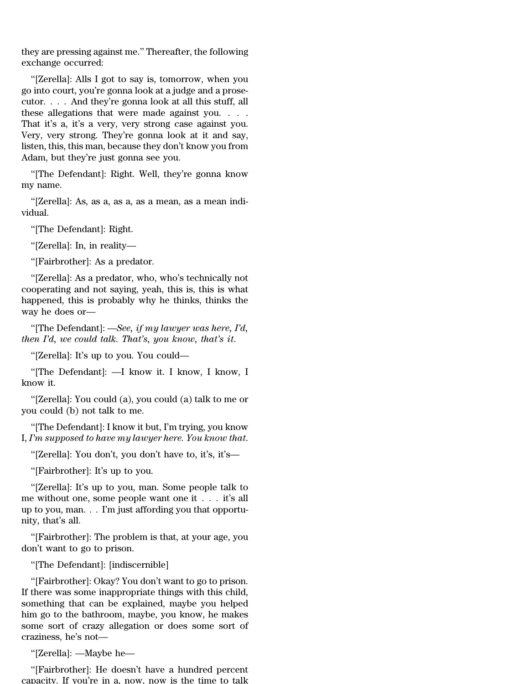they are pressing against me.'' Thereafter, the following exchange occurred:

''[Zerella]: Alls I got to say is, tomorrow, when you go into court, you're gonna look at a judge and a prosecutor. . . . And they're gonna look at all this stuff, all these allegations that were made against you. . . . That it's a, it's a very, very strong case against you. Very, very strong. They're gonna look at it and say, listen, this, this man, because they don't know you from Adam, but they're just gonna see you.

''[The Defendant]: Right. Well, they're gonna know my name.

''[Zerella]: As, as a, as a, as a mean, as a mean individual.

''[The Defendant]: Right.

''[Zerella]: In, in reality—

''[Fairbrother]: As a predator.

''[Zerella]: As a predator, who, who's technically not cooperating and not saying, yeah, this is, this is what happened, this is probably why he thinks, thinks the way he does or—

''[The Defendant]: —*See, if my lawyer was here, I'd, then I'd, we could talk. That's, you know, that's it*.

''[Zerella]: It's up to you. You could—

''[The Defendant]: —I know it. I know, I know, I know it.

''[Zerella]: You could (a), you could (a) talk to me or you could (b) not talk to me.

''[The Defendant]: I know it but, I'm trying, you know I, *I'm supposed to have my lawyer here. You know that*.

''[Zerella]: You don't, you don't have to, it's, it's—

''[Fairbrother]: It's up to you.

''[Zerella]: It's up to you, man. Some people talk to me without one, some people want one it . . . it's all up to you, man. . . I'm just affording you that opportunity, that's all.

''[Fairbrother]: The problem is that, at your age, you don't want to go to prison.

''[The Defendant]: [indiscernible]

''[Fairbrother]: Okay? You don't want to go to prison. If there was some inappropriate things with this child, something that can be explained, maybe you helped him go to the bathroom, maybe, you know, he makes some sort of crazy allegation or does some sort of craziness, he's not—

''[Zerella]: —Maybe he—

''[Fairbrother]: He doesn't have a hundred percent capacity. If you're in a, now, now is the time to talk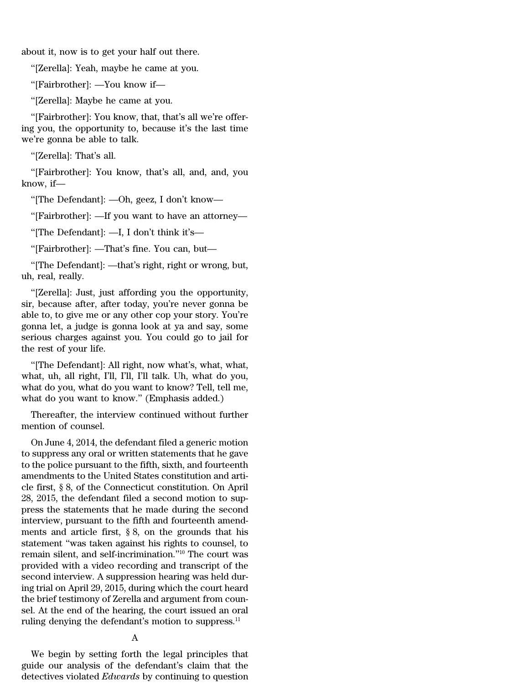about it, now is to get your half out there.

''[Zerella]: Yeah, maybe he came at you.

''[Fairbrother]: —You know if—

''[Zerella]: Maybe he came at you.

''[Fairbrother]: You know, that, that's all we're offering you, the opportunity to, because it's the last time we're gonna be able to talk.

''[Zerella]: That's all.

''[Fairbrother]: You know, that's all, and, and, you know, if—

''[The Defendant]: —Oh, geez, I don't know—

''[Fairbrother]: —If you want to have an attorney—

''[The Defendant]: —I, I don't think it's—

''[Fairbrother]: —That's fine. You can, but—

''[The Defendant]: —that's right, right or wrong, but, uh, real, really.

''[Zerella]: Just, just affording you the opportunity, sir, because after, after today, you're never gonna be able to, to give me or any other cop your story. You're gonna let, a judge is gonna look at ya and say, some serious charges against you. You could go to jail for the rest of your life.

''[The Defendant]: All right, now what's, what, what, what, uh, all right, I'll, I'll, I'll talk. Uh, what do you, what do you, what do you want to know? Tell, tell me, what do you want to know.'' (Emphasis added.)

Thereafter, the interview continued without further mention of counsel.

On June 4, 2014, the defendant filed a generic motion to suppress any oral or written statements that he gave to the police pursuant to the fifth, sixth, and fourteenth amendments to the United States constitution and article first, § 8, of the Connecticut constitution. On April 28, 2015, the defendant filed a second motion to suppress the statements that he made during the second interview, pursuant to the fifth and fourteenth amendments and article first, § 8, on the grounds that his statement ''was taken against his rights to counsel, to remain silent, and self-incrimination.''<sup>10</sup> The court was provided with a video recording and transcript of the second interview. A suppression hearing was held during trial on April 29, 2015, during which the court heard the brief testimony of Zerella and argument from counsel. At the end of the hearing, the court issued an oral ruling denying the defendant's motion to suppress.<sup>11</sup>

# A

We begin by setting forth the legal principles that guide our analysis of the defendant's claim that the detectives violated *Edwards* by continuing to question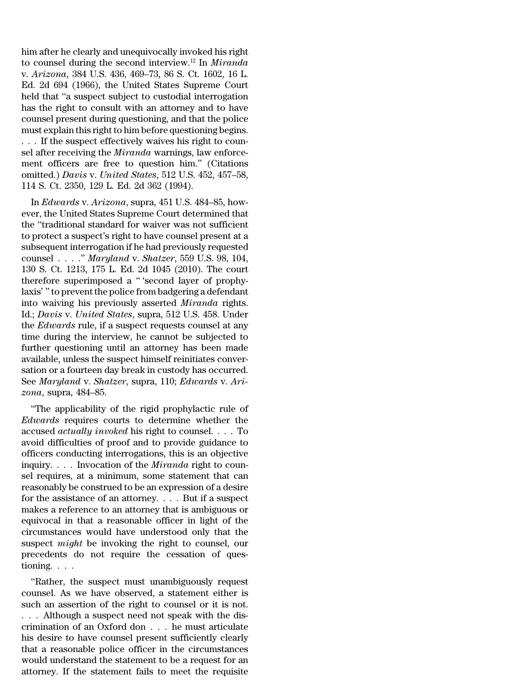him after he clearly and unequivocally invoked his right to counsel during the second interview.<sup>12</sup> In *Miranda* v. *Arizona*, 384 U.S. 436, 469–73, 86 S. Ct. 1602, 16 L. Ed. 2d 694 (1966), the United States Supreme Court held that ''a suspect subject to custodial interrogation has the right to consult with an attorney and to have counsel present during questioning, and that the police must explain this right to him before questioning begins. . . . If the suspect effectively waives his right to counsel after receiving the *Miranda* warnings, law enforcement officers are free to question him.'' (Citations omitted.) *Davis* v. *United States*, 512 U.S. 452, 457–58, 114 S. Ct. 2350, 129 L. Ed. 2d 362 (1994).

In *Edwards* v. *Arizona*, supra, 451 U.S. 484–85, however, the United States Supreme Court determined that the ''traditional standard for waiver was not sufficient to protect a suspect's right to have counsel present at a subsequent interrogation if he had previously requested counsel . . . .'' *Maryland* v. *Shatzer*, 559 U.S. 98, 104, 130 S. Ct. 1213, 175 L. Ed. 2d 1045 (2010). The court therefore superimposed a '' 'second layer of prophylaxis' '' to prevent the police from badgering a defendant into waiving his previously asserted *Miranda* rights. Id.; *Davis* v. *United States*, supra, 512 U.S. 458. Under the *Edwards* rule, if a suspect requests counsel at any time during the interview, he cannot be subjected to further questioning until an attorney has been made available, unless the suspect himself reinitiates conversation or a fourteen day break in custody has occurred. See *Maryland* v. *Shatzer*, supra, 110; *Edwards* v. *Arizona*, supra, 484–85.

''The applicability of the rigid prophylactic rule of *Edwards* requires courts to determine whether the accused *actually invoked* his right to counsel. . . . To avoid difficulties of proof and to provide guidance to officers conducting interrogations, this is an objective inquiry. . . . Invocation of the *Miranda* right to counsel requires, at a minimum, some statement that can reasonably be construed to be an expression of a desire for the assistance of an attorney. . . . But if a suspect makes a reference to an attorney that is ambiguous or equivocal in that a reasonable officer in light of the circumstances would have understood only that the suspect *might* be invoking the right to counsel, our precedents do not require the cessation of questioning. . . .

''Rather, the suspect must unambiguously request counsel. As we have observed, a statement either is such an assertion of the right to counsel or it is not. . . . Although a suspect need not speak with the discrimination of an Oxford don . . . he must articulate his desire to have counsel present sufficiently clearly that a reasonable police officer in the circumstances would understand the statement to be a request for an attorney. If the statement fails to meet the requisite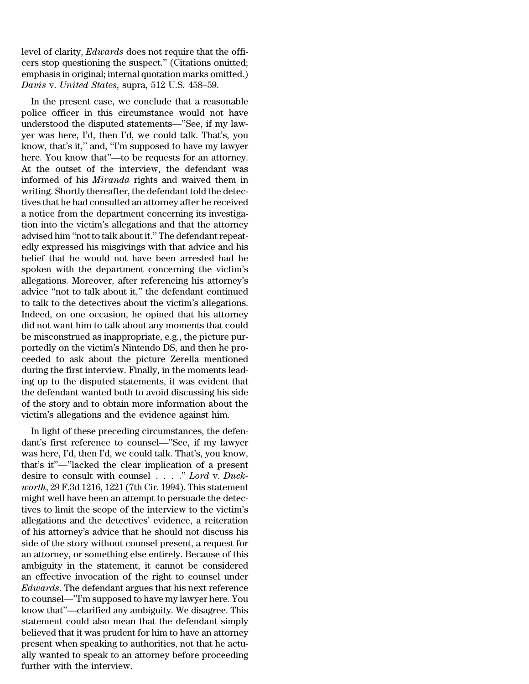level of clarity, *Edwards* does not require that the officers stop questioning the suspect.'' (Citations omitted; emphasis in original; internal quotation marks omitted.) *Davis* v. *United States*, supra, 512 U.S. 458–59.

In the present case, we conclude that a reasonable police officer in this circumstance would not have understood the disputed statements—''See, if my lawyer was here, I'd, then I'd, we could talk. That's, you know, that's it," and, "I'm supposed to have my lawyer here. You know that''—to be requests for an attorney. At the outset of the interview, the defendant was informed of his *Miranda* rights and waived them in writing. Shortly thereafter, the defendant told the detectives that he had consulted an attorney after he received a notice from the department concerning its investigation into the victim's allegations and that the attorney advised him "not to talk about it." The defendant repeatedly expressed his misgivings with that advice and his belief that he would not have been arrested had he spoken with the department concerning the victim's allegations. Moreover, after referencing his attorney's advice ''not to talk about it,'' the defendant continued to talk to the detectives about the victim's allegations. Indeed, on one occasion, he opined that his attorney did not want him to talk about any moments that could be misconstrued as inappropriate, e.g., the picture purportedly on the victim's Nintendo DS, and then he proceeded to ask about the picture Zerella mentioned during the first interview. Finally, in the moments leading up to the disputed statements, it was evident that the defendant wanted both to avoid discussing his side of the story and to obtain more information about the victim's allegations and the evidence against him.

In light of these preceding circumstances, the defendant's first reference to counsel—''See, if my lawyer was here, I'd, then I'd, we could talk. That's, you know, that's it''—''lacked the clear implication of a present desire to consult with counsel . . . .'' *Lord* v. *Duckworth*, 29 F.3d 1216, 1221 (7th Cir. 1994). This statement might well have been an attempt to persuade the detectives to limit the scope of the interview to the victim's allegations and the detectives' evidence, a reiteration of his attorney's advice that he should not discuss his side of the story without counsel present, a request for an attorney, or something else entirely. Because of this ambiguity in the statement, it cannot be considered an effective invocation of the right to counsel under *Edwards*. The defendant argues that his next reference to counsel—''I'm supposed to have my lawyer here. You know that''—clarified any ambiguity. We disagree. This statement could also mean that the defendant simply believed that it was prudent for him to have an attorney present when speaking to authorities, not that he actually wanted to speak to an attorney before proceeding further with the interview.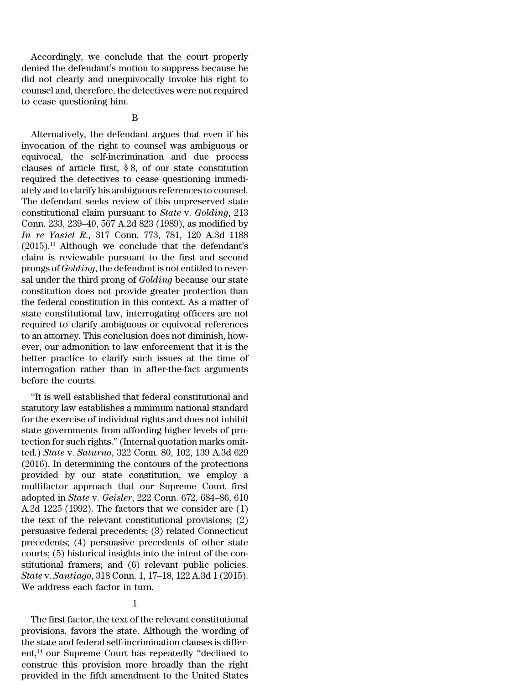Accordingly, we conclude that the court properly denied the defendant's motion to suppress because he did not clearly and unequivocally invoke his right to counsel and, therefore, the detectives were notrequired to cease questioning him.

### B

Alternatively, the defendant argues that even if his invocation of the right to counsel was ambiguous or equivocal, the self-incrimination and due process clauses of article first, § 8, of our state constitution required the detectives to cease questioning immediately and to clarify his ambiguous references to counsel. The defendant seeks review of this unpreserved state constitutional claim pursuant to *State* v. *Golding*, 213 Conn. 233, 239–40, 567 A.2d 823 (1989), as modified by *In re Yasiel R*., 317 Conn. 773, 781, 120 A.3d 1188  $(2015).$ <sup>13</sup> Although we conclude that the defendant's claim is reviewable pursuant to the first and second prongs of *Golding*, the defendant is not entitled to reversal under the third prong of *Golding* because our state constitution does not provide greater protection than the federal constitution in this context. As a matter of state constitutional law, interrogating officers are not required to clarify ambiguous or equivocal references to an attorney. This conclusion does not diminish, however, our admonition to law enforcement that it is the better practice to clarify such issues at the time of interrogation rather than in after-the-fact arguments before the courts.

''It is well established that federal constitutional and statutory law establishes a minimum national standard for the exercise of individual rights and does not inhibit state governments from affording higher levels of protection for such rights.'' (Internal quotation marks omitted.) *State* v. *Saturno*, 322 Conn. 80, 102, 139 A.3d 629 (2016). In determining the contours of the protections provided by our state constitution, we employ a multifactor approach that our Supreme Court first adopted in *State* v. *Geisler*, 222 Conn. 672, 684–86, 610 A.2d 1225 (1992). The factors that we consider are (1) the text of the relevant constitutional provisions; (2) persuasive federal precedents; (3) related Connecticut precedents; (4) persuasive precedents of other state courts; (5) historical insights into the intent of the constitutional framers; and (6) relevant public policies. *State* v. *Santiago*, 318 Conn. 1, 17–18, 122 A.3d 1 (2015). We address each factor in turn.

The first factor, the text of the relevant constitutional provisions, favors the state. Although the wording of the state and federal self-incrimination clauses is different,<sup>14</sup> our Supreme Court has repeatedly "declined to construe this provision more broadly than the right provided in the fifth amendment to the United States

<sup>1</sup>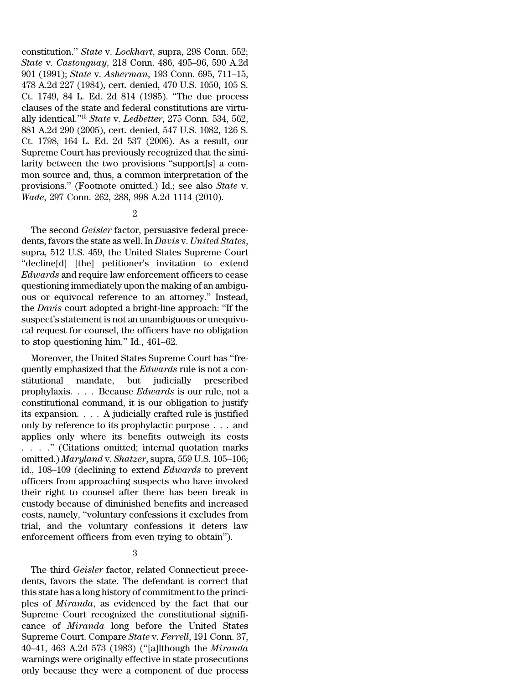constitution.'' *State* v. *Lockhart*, supra, 298 Conn. 552; *State* v. *Castonguay*, 218 Conn. 486, 495–96, 590 A.2d 901 (1991); *State* v. *Asherman*, 193 Conn. 695, 711–15, 478 A.2d 227 (1984), cert. denied, 470 U.S. 1050, 105 S. Ct. 1749, 84 L. Ed. 2d 814 (1985). ''The due process clauses of the state and federal constitutions are virtually identical.''<sup>15</sup> *State* v. *Ledbetter*, 275 Conn. 534, 562, 881 A.2d 290 (2005), cert. denied, 547 U.S. 1082, 126 S. Ct. 1798, 164 L. Ed. 2d 537 (2006). As a result, our Supreme Court has previously recognized that the similarity between the two provisions ''support[s] a common source and, thus, a common interpretation of the provisions.'' (Footnote omitted.) Id.; see also *State* v. *Wade*, 297 Conn. 262, 288, 998 A.2d 1114 (2010).

### 2

The second *Geisler* factor, persuasive federal precedents, favors the state as well. In *Davis* v. *United States*, supra, 512 U.S. 459, the United States Supreme Court ''decline[d] [the] petitioner's invitation to extend *Edwards* and require law enforcement officers to cease questioning immediately upon the making of an ambiguous or equivocal reference to an attorney.'' Instead, the *Davis* court adopted a bright-line approach: ''If the suspect's statement is not an unambiguous or unequivocal request for counsel, the officers have no obligation to stop questioning him.'' Id., 461–62.

Moreover, the United States Supreme Court has ''frequently emphasized that the *Edwards* rule is not a constitutional mandate, but judicially prescribed prophylaxis. . . . Because *Edwards* is our rule, not a constitutional command, it is our obligation to justify its expansion. . . . A judicially crafted rule is justified only by reference to its prophylactic purpose . . . and applies only where its benefits outweigh its costs . . . .'' (Citations omitted; internal quotation marks omitted.) *Maryland* v. *Shatzer*, supra, 559 U.S. 105–106; id., 108–109 (declining to extend *Edwards* to prevent officers from approaching suspects who have invoked their right to counsel after there has been break in custody because of diminished benefits and increased costs, namely, ''voluntary confessions it excludes from trial, and the voluntary confessions it deters law enforcement officers from even trying to obtain'').

3

The third *Geisler* factor, related Connecticut precedents, favors the state. The defendant is correct that this state has a long history of commitment to the principles of *Miranda*, as evidenced by the fact that our Supreme Court recognized the constitutional significance of *Miranda* long before the United States Supreme Court. Compare *State* v. *Ferrell*, 191 Conn. 37, 40–41, 463 A.2d 573 (1983) (''[a]lthough the *Miranda* warnings were originally effective in state prosecutions only because they were a component of due process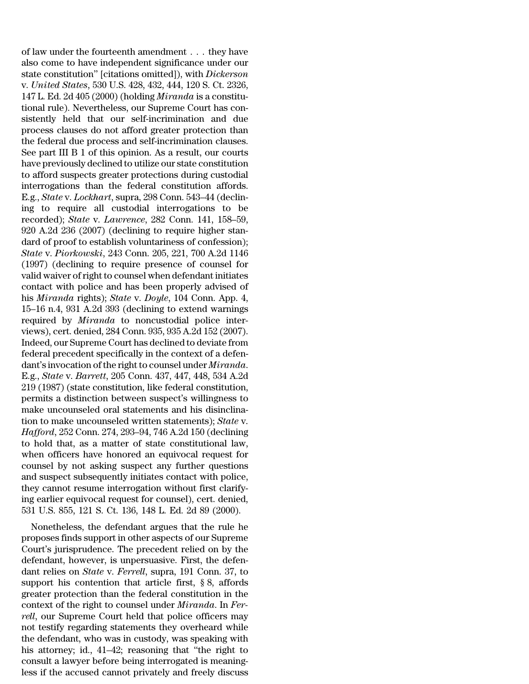of law under the fourteenth amendment . . . they have also come to have independent significance under our state constitution'' [citations omitted]), with *Dickerson* v. *United States*, 530 U.S. 428, 432, 444, 120 S. Ct. 2326, 147 L. Ed. 2d 405 (2000) (holding *Miranda* is a constitutional rule). Nevertheless, our Supreme Court has consistently held that our self-incrimination and due process clauses do not afford greater protection than the federal due process and self-incrimination clauses. See part III B 1 of this opinion. As a result, our courts have previously declined to utilize our state constitution to afford suspects greater protections during custodial interrogations than the federal constitution affords. E.g., *State* v. *Lockhart*, supra, 298 Conn. 543–44 (declining to require all custodial interrogations to be recorded); *State* v. *Lawrence*, 282 Conn. 141, 158–59, 920 A.2d 236 (2007) (declining to require higher standard of proof to establish voluntariness of confession); *State* v. *Piorkowski*, 243 Conn. 205, 221, 700 A.2d 1146 (1997) (declining to require presence of counsel for valid waiver ofright to counsel when defendant initiates contact with police and has been properly advised of his *Miranda* rights); *State* v. *Doyle*, 104 Conn. App. 4, 15–16 n.4, 931 A.2d 393 (declining to extend warnings required by *Miranda* to noncustodial police interviews), cert. denied, 284 Conn. 935, 935 A.2d 152 (2007). Indeed, our Supreme Court has declined to deviate from federal precedent specifically in the context of a defendant's invocation of the right to counsel under *Miranda*. E.g., *State* v. *Barrett*, 205 Conn. 437, 447, 448, 534 A.2d 219 (1987) (state constitution, like federal constitution, permits a distinction between suspect's willingness to make uncounseled oral statements and his disinclination to make uncounseled written statements); *State* v. *Hafford*, 252 Conn. 274, 293–94, 746 A.2d 150 (declining to hold that, as a matter of state constitutional law, when officers have honored an equivocal request for counsel by not asking suspect any further questions and suspect subsequently initiates contact with police, they cannot resume interrogation without first clarifying earlier equivocal request for counsel), cert. denied, 531 U.S. 855, 121 S. Ct. 136, 148 L. Ed. 2d 89 (2000).

Nonetheless, the defendant argues that the rule he proposes finds support in other aspects of our Supreme Court's jurisprudence. The precedent relied on by the defendant, however, is unpersuasive. First, the defendant relies on *State* v. *Ferrell*, supra, 191 Conn. 37, to support his contention that article first, § 8, affords greater protection than the federal constitution in the context of the right to counsel under *Miranda*. In *Ferrell*, our Supreme Court held that police officers may not testify regarding statements they overheard while the defendant, who was in custody, was speaking with his attorney; id., 41–42; reasoning that ''the right to consult a lawyer before being interrogated is meaningless if the accused cannot privately and freely discuss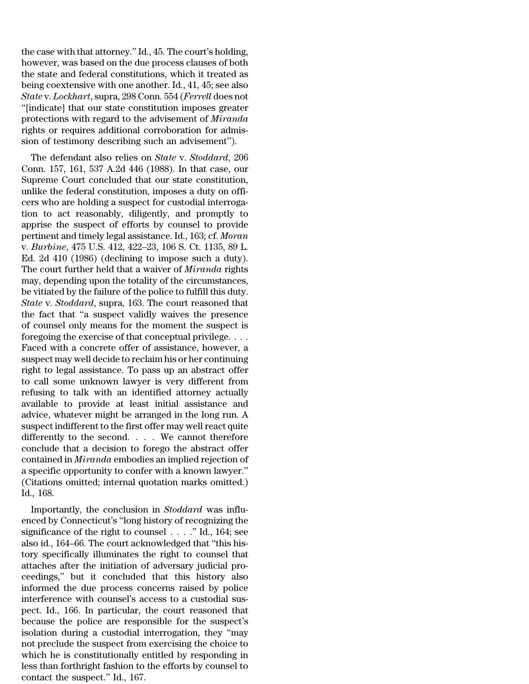the case with that attorney.'' Id., 45. The court's holding, however, was based on the due process clauses of both the state and federal constitutions, which it treated as being coextensive with one another. Id., 41, 45; see also *State* v. *Lockhart*, supra, 298 Conn. 554 (*Ferrell* does not ''[indicate] that our state constitution imposes greater protections with regard to the advisement of *Miranda* rights or requires additional corroboration for admission of testimony describing such an advisement'').

The defendant also relies on *State* v. *Stoddard*, 206 Conn. 157, 161, 537 A.2d 446 (1988). In that case, our Supreme Court concluded that our state constitution, unlike the federal constitution, imposes a duty on officers who are holding a suspect for custodial interrogation to act reasonably, diligently, and promptly to apprise the suspect of efforts by counsel to provide pertinent and timely legal assistance. Id., 163; cf. *Moran* v. *Burbine*, 475 U.S. 412, 422–23, 106 S. Ct. 1135, 89 L. Ed. 2d 410 (1986) (declining to impose such a duty). The court further held that a waiver of *Miranda* rights may, depending upon the totality of the circumstances, be vitiated by the failure of the police to fulfill this duty. *State* v. *Stoddard*, supra, 163. The court reasoned that the fact that ''a suspect validly waives the presence of counsel only means for the moment the suspect is foregoing the exercise of that conceptual privilege. . . . Faced with a concrete offer of assistance, however, a suspect may well decide to reclaim his or her continuing right to legal assistance. To pass up an abstract offer to call some unknown lawyer is very different from refusing to talk with an identified attorney actually available to provide at least initial assistance and advice, whatever might be arranged in the long run. A suspect indifferent to the first offer may well react quite differently to the second. . . . We cannot therefore conclude that a decision to forego the abstract offer contained in *Miranda* embodies an implied rejection of a specific opportunity to confer with a known lawyer.'' (Citations omitted; internal quotation marks omitted.) Id., 168.

Importantly, the conclusion in *Stoddard* was influenced by Connecticut's ''long history of recognizing the significance of the right to counsel . . . .'' Id., 164; see also id., 164–66. The court acknowledged that ''this history specifically illuminates the right to counsel that attaches after the initiation of adversary judicial proceedings,'' but it concluded that this history also informed the due process concerns raised by police interference with counsel's access to a custodial suspect. Id., 166. In particular, the court reasoned that because the police are responsible for the suspect's isolation during a custodial interrogation, they ''may not preclude the suspect from exercising the choice to which he is constitutionally entitled by responding in less than forthright fashion to the efforts by counsel to contact the suspect.'' Id., 167.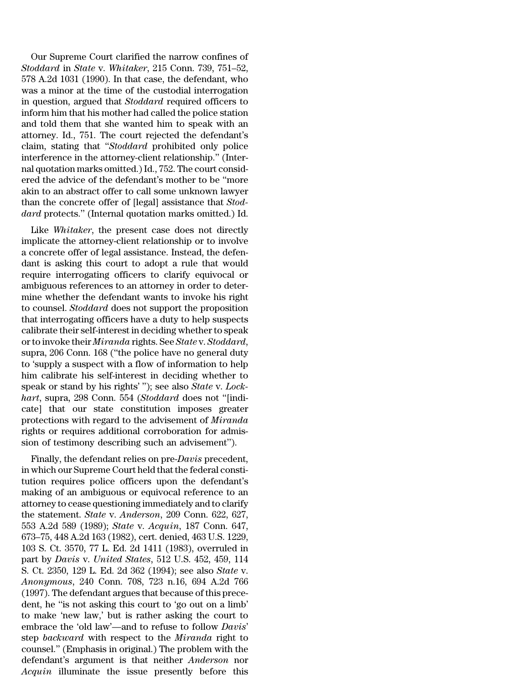Our Supreme Court clarified the narrow confines of *Stoddard* in *State* v. *Whitaker*, 215 Conn. 739, 751–52, 578 A.2d 1031 (1990). In that case, the defendant, who was a minor at the time of the custodial interrogation in question, argued that *Stoddard* required officers to inform him that his mother had called the police station and told them that she wanted him to speak with an attorney. Id., 751. The court rejected the defendant's claim, stating that ''*Stoddard* prohibited only police interference in the attorney-client relationship.'' (Internal quotation marks omitted.)Id., 752. The court considered the advice of the defendant's mother to be ''more akin to an abstract offer to call some unknown lawyer than the concrete offer of [legal] assistance that *Stoddard* protects.'' (Internal quotation marks omitted.) Id.

Like *Whitaker*, the present case does not directly implicate the attorney-client relationship or to involve a concrete offer of legal assistance. Instead, the defendant is asking this court to adopt a rule that would require interrogating officers to clarify equivocal or ambiguous references to an attorney in order to determine whether the defendant wants to invoke his right to counsel. *Stoddard* does not support the proposition that interrogating officers have a duty to help suspects calibrate their self-interest in deciding whether to speak orto invoke their *Miranda* rights. See *State* v. *Stoddard*, supra, 206 Conn. 168 (''the police have no general duty to 'supply a suspect with a flow of information to help him calibrate his self-interest in deciding whether to speak or stand by his rights' ''); see also *State* v. *Lockhart*, supra, 298 Conn. 554 (*Stoddard* does not ''[indicate] that our state constitution imposes greater protections with regard to the advisement of *Miranda* rights or requires additional corroboration for admission of testimony describing such an advisement'').

Finally, the defendant relies on pre-*Davis* precedent, in which our Supreme Court held that the federal constitution requires police officers upon the defendant's making of an ambiguous or equivocal reference to an attorney to cease questioning immediately and to clarify the statement. *State* v. *Anderson*, 209 Conn. 622, 627, 553 A.2d 589 (1989); *State* v. *Acquin*, 187 Conn. 647, 673–75, 448 A.2d 163 (1982), cert. denied, 463 U.S. 1229, 103 S. Ct. 3570, 77 L. Ed. 2d 1411 (1983), overruled in part by *Davis* v. *United States*, 512 U.S. 452, 459, 114 S. Ct. 2350, 129 L. Ed. 2d 362 (1994); see also *State* v. *Anonymous*, 240 Conn. 708, 723 n.16, 694 A.2d 766 (1997). The defendant argues that because of this precedent, he ''is not asking this court to 'go out on a limb' to make 'new law,' but is rather asking the court to embrace the 'old law'—and to refuse to follow *Davis*' step *backward* with respect to the *Miranda* right to counsel.'' (Emphasis in original.) The problem with the defendant's argument is that neither *Anderson* nor *Acquin* illuminate the issue presently before this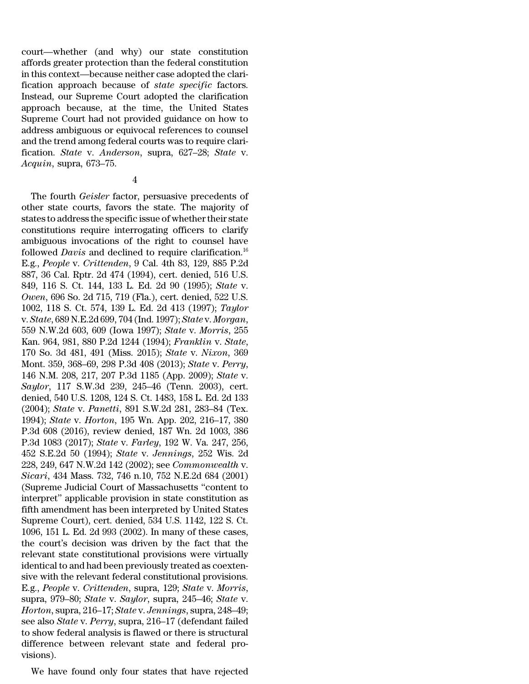court—whether (and why) our state constitution affords greater protection than the federal constitution in this context—because neither case adopted the clarification approach because of *state specific* factors. Instead, our Supreme Court adopted the clarification approach because, at the time, the United States Supreme Court had not provided guidance on how to address ambiguous or equivocal references to counsel and the trend among federal courts was to require clarification. *State* v. *Anderson*, supra, 627–28; *State* v. *Acquin*, supra, 673–75.

The fourth *Geisler* factor, persuasive precedents of other state courts, favors the state. The majority of states to address the specific issue of whether their state constitutions require interrogating officers to clarify ambiguous invocations of the right to counsel have followed *Davis* and declined to require clarification.<sup>16</sup> E.g., *People* v. *Crittenden*, 9 Cal. 4th 83, 129, 885 P.2d 887, 36 Cal. Rptr. 2d 474 (1994), cert. denied, 516 U.S. 849, 116 S. Ct. 144, 133 L. Ed. 2d 90 (1995); *State* v. *Owen*, 696 So. 2d 715, 719 (Fla.), cert. denied, 522 U.S. 1002, 118 S. Ct. 574, 139 L. Ed. 2d 413 (1997); *Taylor* v. *State*, 689 N.E.2d 699, 704 (Ind. 1997); *State* v. *Morgan*, 559 N.W.2d 603, 609 (Iowa 1997); *State* v. *Morris*, 255 Kan. 964, 981, 880 P.2d 1244 (1994); *Franklin* v. *State*, 170 So. 3d 481, 491 (Miss. 2015); *State* v. *Nixon*, 369 Mont. 359, 368–69, 298 P.3d 408 (2013); *State* v. *Perry*, 146 N.M. 208, 217, 207 P.3d 1185 (App. 2009); *State* v. *Saylor*, 117 S.W.3d 239, 245–46 (Tenn. 2003), cert. denied, 540 U.S. 1208, 124 S. Ct. 1483, 158 L. Ed. 2d 133 (2004); *State* v. *Panetti*, 891 S.W.2d 281, 283–84 (Tex. 1994); *State* v. *Horton*, 195 Wn. App. 202, 216–17, 380 P.3d 608 (2016), review denied, 187 Wn. 2d 1003, 386 P.3d 1083 (2017); *State* v. *Farley*, 192 W. Va. 247, 256, 452 S.E.2d 50 (1994); *State* v. *Jennings*, 252 Wis. 2d 228, 249, 647 N.W.2d 142 (2002); see *Commonwealth* v. *Sicari*, 434 Mass. 732, 746 n.10, 752 N.E.2d 684 (2001) (Supreme Judicial Court of Massachusetts ''content to interpret'' applicable provision in state constitution as fifth amendment has been interpreted by United States Supreme Court), cert. denied, 534 U.S. 1142, 122 S. Ct. 1096, 151 L. Ed. 2d 993 (2002). In many of these cases, the court's decision was driven by the fact that the relevant state constitutional provisions were virtually identical to and had been previously treated as coextensive with the relevant federal constitutional provisions. E.g., *People* v. *Crittenden*, supra, 129; *State* v. *Morris*, supra, 979–80; *State* v. *Saylor*, supra, 245–46; *State* v. *Horton*, supra, 216–17; *State* v. *Jennings*, supra, 248–49; see also *State* v. *Perry*, supra, 216–17 (defendant failed to show federal analysis is flawed or there is structural difference between relevant state and federal provisions).

We have found only four states that have rejected

<sup>4</sup>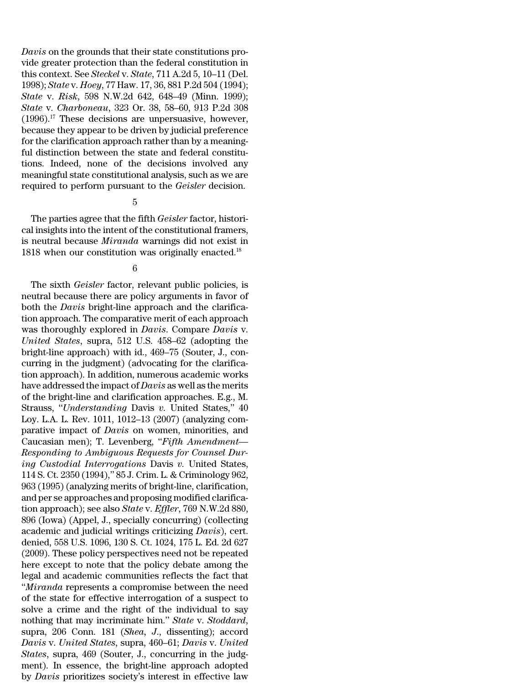*Davis* on the grounds that their state constitutions provide greater protection than the federal constitution in this context. See *Steckel* v. *State*, 711 A.2d 5, 10–11 (Del. 1998); *State* v. *Hoey*, 77 Haw. 17, 36, 881 P.2d 504 (1994); *State* v. *Risk*, 598 N.W.2d 642, 648–49 (Minn. 1999); *State* v. *Charboneau*, 323 Or. 38, 58–60, 913 P.2d 308  $(1996).$ <sup>17</sup> These decisions are unpersuasive, however, because they appear to be driven by judicial preference for the clarification approach rather than by a meaningful distinction between the state and federal constitutions. Indeed, none of the decisions involved any meaningful state constitutional analysis, such as we are required to perform pursuant to the *Geisler* decision.

### 5

The parties agree that the fifth *Geisler* factor, historical insights into the intent of the constitutional framers, is neutral because *Miranda* warnings did not exist in 1818 when our constitution was originally enacted.<sup>18</sup>

### 6

The sixth *Geisler* factor, relevant public policies, is neutral because there are policy arguments in favor of both the *Davis* bright-line approach and the clarification approach. The comparative merit of each approach was thoroughly explored in *Davis*. Compare *Davis* v. *United States*, supra, 512 U.S. 458–62 (adopting the bright-line approach) with id., 469–75 (Souter, J., concurring in the judgment) (advocating for the clarification approach). In addition, numerous academic works have addressed the impact of *Davis* as well as the merits of the bright-line and clarification approaches. E.g., M. Strauss, ''*Understanding* Davis *v.* United States,'' 40 Loy. L.A. L. Rev. 1011, 1012–13 (2007) (analyzing comparative impact of *Davis* on women, minorities, and Caucasian men); T. Levenberg, ''*Fifth Amendment— Responding to Ambiguous Requests for Counsel During Custodial Interrogations* Davis *v.* United States, 114 S. Ct. 2350 (1994),'' 85 J. Crim. L. & Criminology 962, 963 (1995) (analyzing merits of bright-line, clarification, and per se approaches and proposing modified clarification approach); see also *State* v. *Effler*, 769 N.W.2d 880, 896 (Iowa) (Appel, J., specially concurring) (collecting academic and judicial writings criticizing *Davis*), cert. denied, 558 U.S. 1096, 130 S. Ct. 1024, 175 L. Ed. 2d 627 (2009). These policy perspectives need not be repeated here except to note that the policy debate among the legal and academic communities reflects the fact that ''*Miranda* represents a compromise between the need of the state for effective interrogation of a suspect to solve a crime and the right of the individual to say nothing that may incriminate him.'' *State* v. *Stoddard*, supra, 206 Conn. 181 (*Shea, J*., dissenting); accord *Davis* v. *United States*, supra, 460–61; *Davis* v. *United States*, supra, 469 (Souter, J., concurring in the judgment). In essence, the bright-line approach adopted by *Davis* prioritizes society's interest in effective law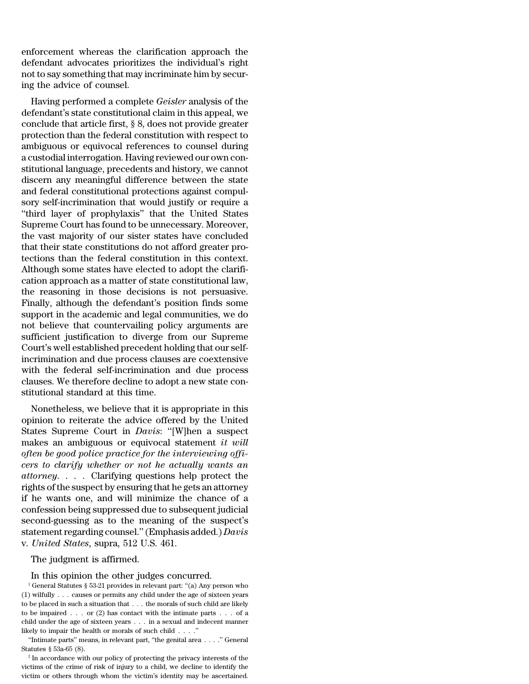enforcement whereas the clarification approach the defendant advocates prioritizes the individual's right not to say something that may incriminate him by securing the advice of counsel.

Having performed a complete *Geisler* analysis of the defendant's state constitutional claim in this appeal, we conclude that article first, § 8, does not provide greater protection than the federal constitution with respect to ambiguous or equivocal references to counsel during a custodial interrogation. Having reviewed our own constitutional language, precedents and history, we cannot discern any meaningful difference between the state and federal constitutional protections against compulsory self-incrimination that would justify or require a ''third layer of prophylaxis'' that the United States Supreme Court has found to be unnecessary. Moreover, the vast majority of our sister states have concluded that their state constitutions do not afford greater protections than the federal constitution in this context. Although some states have elected to adopt the clarification approach as a matter of state constitutional law, the reasoning in those decisions is not persuasive. Finally, although the defendant's position finds some support in the academic and legal communities, we do not believe that countervailing policy arguments are sufficient justification to diverge from our Supreme Court's well established precedent holding that our selfincrimination and due process clauses are coextensive with the federal self-incrimination and due process clauses. We therefore decline to adopt a new state constitutional standard at this time.

Nonetheless, we believe that it is appropriate in this opinion to reiterate the advice offered by the United States Supreme Court in *Davis*: ''[W]hen a suspect makes an ambiguous or equivocal statement *it will often be good police practice for the interviewing officers to clarify whether or not he actually wants an attorney*. . . . Clarifying questions help protect the rights of the suspect by ensuring that he gets an attorney if he wants one, and will minimize the chance of a confession being suppressed due to subsequent judicial second-guessing as to the meaning of the suspect's statementregarding counsel.''(Emphasis added.) *Davis* v. *United States*, supra, 512 U.S. 461.

The judgment is affirmed.

#### In this opinion the other judges concurred.

<sup>1</sup> General Statutes § 53-21 provides in relevant part: "(a) Any person who (1) wilfully . . . causes or permits any child under the age of sixteen years to be placed in such a situation that . . . the morals of such child are likely to be impaired . . . or (2) has contact with the intimate parts . . . of a child under the age of sixteen years . . . in a sexual and indecent manner likely to impair the health or morals of such child . . . .''

''Intimate parts'' means, in relevant part, ''the genital area . . . .'' General Statutes § 53a-65 (8).

<sup>2</sup> In accordance with our policy of protecting the privacy interests of the victims of the crime of risk of injury to a child, we decline to identify the victim or others through whom the victim's identity may be ascertained.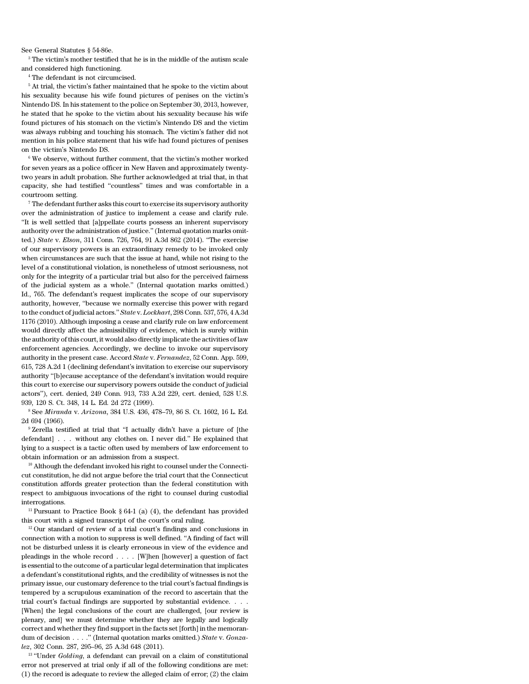See General Statutes § 54-86e.

<sup>3</sup> The victim's mother testified that he is in the middle of the autism scale and considered high functioning.

<sup>4</sup> The defendant is not circumcised.

<sup>5</sup> At trial, the victim's father maintained that he spoke to the victim about his sexuality because his wife found pictures of penises on the victim's Nintendo DS. In his statement to the police on September 30, 2013, however, he stated that he spoke to the victim about his sexuality because his wife found pictures of his stomach on the victim's Nintendo DS and the victim was always rubbing and touching his stomach. The victim's father did not mention in his police statement that his wife had found pictures of penises on the victim's Nintendo DS.

 $6$  We observe, without further comment, that the victim's mother worked for seven years as a police officer in New Haven and approximately twentytwo years in adult probation. She further acknowledged at trial that, in that capacity, she had testified ''countless'' times and was comfortable in a courtroom setting.

 $^7$  The defendant further asks this court to exercise its supervisory authority over the administration of justice to implement a cease and clarify rule. ''It is well settled that [a]ppellate courts possess an inherent supervisory authority over the administration of justice.'' (Internal quotation marks omitted.) *State* v. *Elson*, 311 Conn. 726, 764, 91 A.3d 862 (2014). ''The exercise of our supervisory powers is an extraordinary remedy to be invoked only when circumstances are such that the issue at hand, while not rising to the level of a constitutional violation, is nonetheless of utmost seriousness, not only for the integrity of a particular trial but also for the perceived fairness of the judicial system as a whole.'' (Internal quotation marks omitted.) Id., 765. The defendant's request implicates the scope of our supervisory authority, however, ''because we normally exercise this power with regard to the conduct of judicial actors.'' *State* v. *Lockhart*, 298 Conn. 537, 576, 4 A.3d 1176 (2010). Although imposing a cease and clarify rule on law enforcement would directly affect the admissibility of evidence, which is surely within the authority of this court, it would also directly implicate the activities of law enforcement agencies. Accordingly, we decline to invoke our supervisory authority in the present case. Accord *State* v. *Fernandez*, 52 Conn. App. 599, 615, 728 A.2d 1 (declining defendant's invitation to exercise our supervisory authority ''[b]ecause acceptance of the defendant's invitation would require this court to exercise our supervisory powers outside the conduct of judicial actors''), cert. denied, 249 Conn. 913, 733 A.2d 229, cert. denied, 528 U.S. 939, 120 S. Ct. 348, 14 L. Ed. 2d 272 (1999).

<sup>8</sup> See *Miranda* v. *Arizona*, 384 U.S. 436, 478–79, 86 S. Ct. 1602, 16 L. Ed. 2d 694 (1966).

<sup>9</sup> Zerella testified at trial that ''I actually didn't have a picture of [the defendant] . . . without any clothes on. I never did.'' He explained that lying to a suspect is a tactic often used by members of law enforcement to obtain information or an admission from a suspect.

<sup>10</sup> Although the defendant invoked his right to counsel under the Connecticut constitution, he did not argue before the trial court that the Connecticut constitution affords greater protection than the federal constitution with respect to ambiguous invocations of the right to counsel during custodial interrogations.

<sup>11</sup> Pursuant to Practice Book  $\S 64-1$  (a) (4), the defendant has provided this court with a signed transcript of the court's oral ruling.

 $12$  Our standard of review of a trial court's findings and conclusions in connection with a motion to suppress is well defined. ''A finding of fact will not be disturbed unless it is clearly erroneous in view of the evidence and pleadings in the whole record . . . . [W]hen [however] a question of fact is essential to the outcome of a particular legal determination that implicates a defendant's constitutional rights, and the credibility of witnesses is not the primary issue, our customary deference to the trial court's factual findings is tempered by a scrupulous examination of the record to ascertain that the trial court's factual findings are supported by substantial evidence. . . . [When] the legal conclusions of the court are challenged, [our review is plenary, and] we must determine whether they are legally and logically correct and whether they find support in the facts set [forth] in the memorandum of decision . . . .'' (Internal quotation marks omitted.) *State* v. *Gonzalez*, 302 Conn. 287, 295–96, 25 A.3d 648 (2011).

<sup>13</sup> "Under *Golding*, a defendant can prevail on a claim of constitutional error not preserved at trial only if all of the following conditions are met: (1) the record is adequate to review the alleged claim of error; (2) the claim